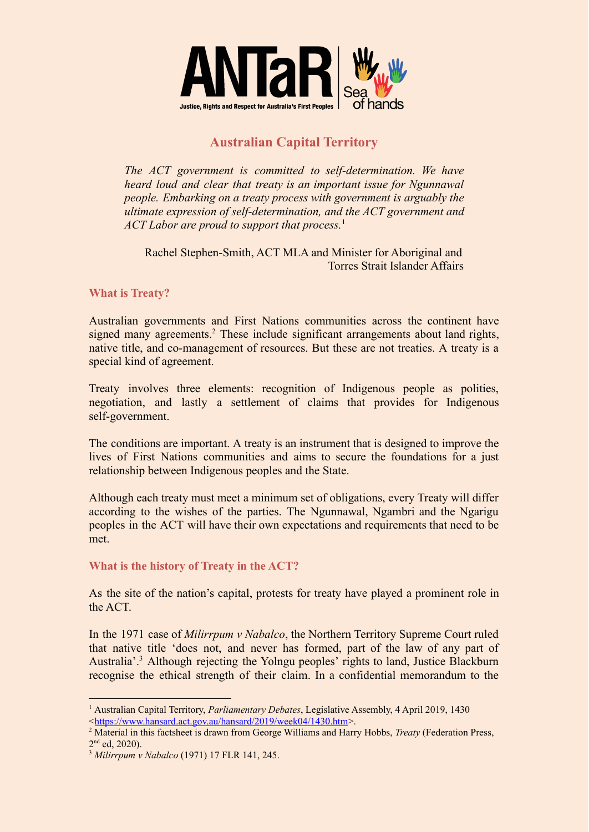

## **Australian Capital Territory**

*The ACT government is committed to self-determination. We have heard loud and clear that treaty is an important issue for Ngunnawal people. Embarking on a treaty process with government is arguably the ultimate expression of self-determination, and the ACT government and ACT Labor are proud to support that process.*<sup>1</sup>

Rachel Stephen-Smith, ACT MLA and Minister for Aboriginal and Torres Strait Islander Affairs

## **What is Treaty?**

Australian governments and First Nations communities across the continent have signed many agreements.<sup>2</sup> These include significant arrangements about land rights, native title, and co-management of resources. But these are not treaties. A treaty is a special kind of agreement.

Treaty involves three elements: recognition of Indigenous people as polities, negotiation, and lastly a settlement of claims that provides for Indigenous self-government.

The conditions are important. A treaty is an instrument that is designed to improve the lives of First Nations communities and aims to secure the foundations for a just relationship between Indigenous peoples and the State.

Although each treaty must meet a minimum set of obligations, every Treaty will differ according to the wishes of the parties. The Ngunnawal, Ngambri and the Ngarigu peoples in the ACT will have their own expectations and requirements that need to be met.

## **What is the history of Treaty in the ACT?**

As the site of the nation's capital, protests for treaty have played a prominent role in the ACT.

In the 1971 case of *Milirrpum v Nabalco*, the Northern Territory Supreme Court ruled that native title 'does not, and never has formed, part of the law of any part of Australia'.<sup>3</sup> Although rejecting the Yolngu peoples' rights to land, Justice Blackburn recognise the ethical strength of their claim. In a confidential memorandum to the

<sup>1</sup> Australian Capital Territory, *Parliamentary Debates*, Legislative Assembly, 4 April 2019, 1430 <<https://www.hansard.act.gov.au/hansard/2019/week04/1430.htm>>.

<sup>&</sup>lt;sup>2</sup> Material in this factsheet is drawn from George Williams and Harry Hobbs, *Treaty* (Federation Press, 2<sup>nd</sup> ed, 2020).

<sup>3</sup> *Milirrpum v Nabalco* (1971) 17 FLR 141, 245.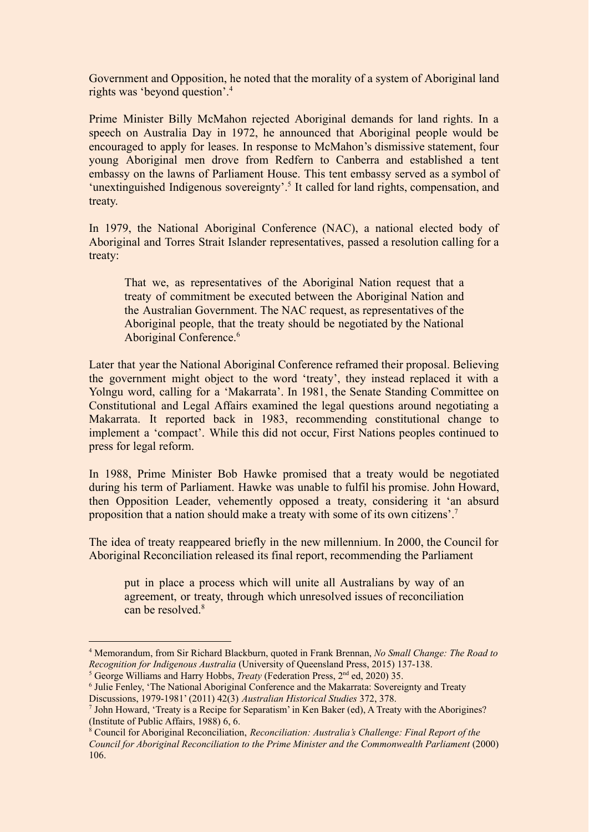Government and Opposition, he noted that the morality of a system of Aboriginal land rights was 'beyond question'.<sup>4</sup>

Prime Minister Billy McMahon rejected Aboriginal demands for land rights. In a speech on Australia Day in 1972, he announced that Aboriginal people would be encouraged to apply for leases. In response to McMahon's dismissive statement, four young Aboriginal men drove from Redfern to Canberra and established a tent embassy on the lawns of Parliament House. This tent embassy served as a symbol of 'unextinguished Indigenous sovereignty'.<sup>5</sup> It called for land rights, compensation, and treaty.

In 1979, the National Aboriginal Conference (NAC), a national elected body of Aboriginal and Torres Strait Islander representatives, passed a resolution calling for a treaty:

That we, as representatives of the Aboriginal Nation request that a treaty of commitment be executed between the Aboriginal Nation and the Australian Government. The NAC request, as representatives of the Aboriginal people, that the treaty should be negotiated by the National Aboriginal Conference.<sup>6</sup>

Later that year the National Aboriginal Conference reframed their proposal. Believing the government might object to the word 'treaty', they instead replaced it with a Yolngu word, calling for a 'Makarrata'. In 1981, the Senate Standing Committee on Constitutional and Legal Affairs examined the legal questions around negotiating a Makarrata. It reported back in 1983, recommending constitutional change to implement a 'compact'. While this did not occur, First Nations peoples continued to press for legal reform.

In 1988, Prime Minister Bob Hawke promised that a treaty would be negotiated during his term of Parliament. Hawke was unable to fulfil his promise. John Howard, then Opposition Leader, vehemently opposed a treaty, considering it 'an absurd proposition that a nation should make a treaty with some of its own citizens'.<sup>7</sup>

The idea of treaty reappeared briefly in the new millennium. In 2000, the Council for Aboriginal Reconciliation released its final report, recommending the Parliament

put in place a process which will unite all Australians by way of an agreement, or treaty, through which unresolved issues of reconciliation can be resolved.<sup>8</sup>

<sup>4</sup> Memorandum, from Sir Richard Blackburn, quoted in Frank Brennan, *No Small Change: The Road to Recognition for Indigenous Australia* (University of Queensland Press, 2015) 137-138.

<sup>&</sup>lt;sup>5</sup> George Williams and Harry Hobbs, *Treaty* (Federation Press, 2<sup>nd</sup> ed, 2020) 35.

<sup>6</sup> Julie Fenley, 'The National Aboriginal Conference and the Makarrata: Sovereignty and Treaty Discussions, 1979-1981' (2011) 42(3) *Australian Historical Studies* 372, 378.

<sup>7</sup> John Howard, 'Treaty is a Recipe for Separatism' in Ken Baker (ed), A Treaty with the Aborigines? (Institute of Public Affairs, 1988) 6, 6.

<sup>8</sup> Council for Aboriginal Reconciliation, *Reconciliation: Australia's Challenge: Final Report of the Council for Aboriginal Reconciliation to the Prime Minister and the Commonwealth Parliament* (2000) 106.